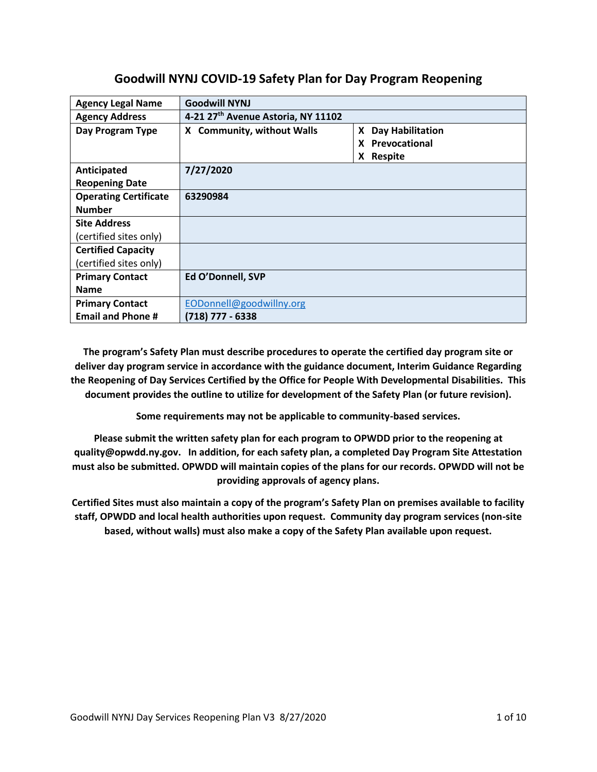# **Goodwill NYNJ COVID-19 Safety Plan for Day Program Reopening**

| <b>Agency Legal Name</b>     | <b>Goodwill NYNJ</b>               |                    |
|------------------------------|------------------------------------|--------------------|
| <b>Agency Address</b>        | 4-21 27th Avenue Astoria, NY 11102 |                    |
| Day Program Type             | X Community, without Walls         | X Day Habilitation |
|                              |                                    | X Prevocational    |
|                              |                                    | X Respite          |
| Anticipated                  | 7/27/2020                          |                    |
| <b>Reopening Date</b>        |                                    |                    |
| <b>Operating Certificate</b> | 63290984                           |                    |
| <b>Number</b>                |                                    |                    |
| <b>Site Address</b>          |                                    |                    |
| (certified sites only)       |                                    |                    |
| <b>Certified Capacity</b>    |                                    |                    |
| (certified sites only)       |                                    |                    |
| <b>Primary Contact</b>       | Ed O'Donnell, SVP                  |                    |
| <b>Name</b>                  |                                    |                    |
| <b>Primary Contact</b>       | EODonnell@goodwillny.org           |                    |
| <b>Email and Phone #</b>     | (718) 777 - 6338                   |                    |

**The program's Safety Plan must describe procedures to operate the certified day program site or deliver day program service in accordance with the guidance document, Interim Guidance Regarding the Reopening of Day Services Certified by the Office for People With Developmental Disabilities. This document provides the outline to utilize for development of the Safety Plan (or future revision).**

**Some requirements may not be applicable to community-based services.**

**Please submit the written safety plan for each program to OPWDD prior to the reopening at quality@opwdd.ny.gov. In addition, for each safety plan, a completed Day Program Site Attestation must also be submitted. OPWDD will maintain copies of the plans for our records. OPWDD will not be providing approvals of agency plans.**

**Certified Sites must also maintain a copy of the program's Safety Plan on premises available to facility staff, OPWDD and local health authorities upon request. Community day program services (non-site based, without walls) must also make a copy of the Safety Plan available upon request.**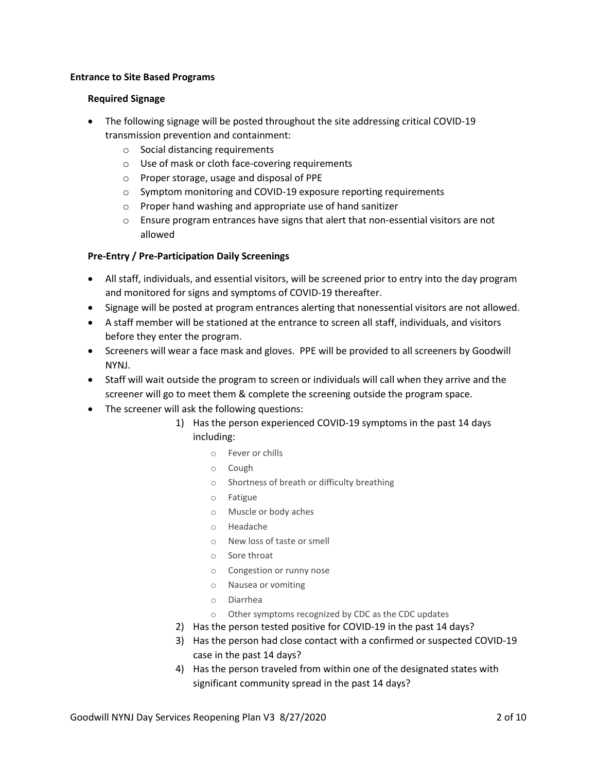#### **Entrance to Site Based Programs**

#### **Required Signage**

- The following signage will be posted throughout the site addressing critical COVID-19 transmission prevention and containment:
	- o Social distancing requirements
	- o Use of mask or cloth face-covering requirements
	- o Proper storage, usage and disposal of PPE
	- o Symptom monitoring and COVID-19 exposure reporting requirements
	- o Proper hand washing and appropriate use of hand sanitizer
	- o Ensure program entrances have signs that alert that non-essential visitors are not allowed

#### **Pre-Entry / Pre-Participation Daily Screenings**

- All staff, individuals, and essential visitors, will be screened prior to entry into the day program and monitored for signs and symptoms of COVID-19 thereafter.
- Signage will be posted at program entrances alerting that nonessential visitors are not allowed.
- A staff member will be stationed at the entrance to screen all staff, individuals, and visitors before they enter the program.
- Screeners will wear a face mask and gloves. PPE will be provided to all screeners by Goodwill NYNJ.
- Staff will wait outside the program to screen or individuals will call when they arrive and the screener will go to meet them & complete the screening outside the program space.
- The screener will ask the following questions:
	- 1) Has the person experienced COVID-19 symptoms in the past 14 days including:
		- o Fever or chills
		- o Cough
		- o Shortness of breath or difficulty breathing
		- o Fatigue
		- o Muscle or body aches
		- o Headache
		- o New loss of taste or smell
		- o Sore throat
		- o Congestion or runny nose
		- o Nausea or vomiting
		- o Diarrhea
		- o Other symptoms recognized by CDC as the CDC updates
	- 2) Has the person tested positive for COVID-19 in the past 14 days?
	- 3) Has the person had close contact with a confirmed or suspected COVID-19 case in the past 14 days?
	- 4) Has the person traveled from within one of the designated states with significant community spread in the past 14 days?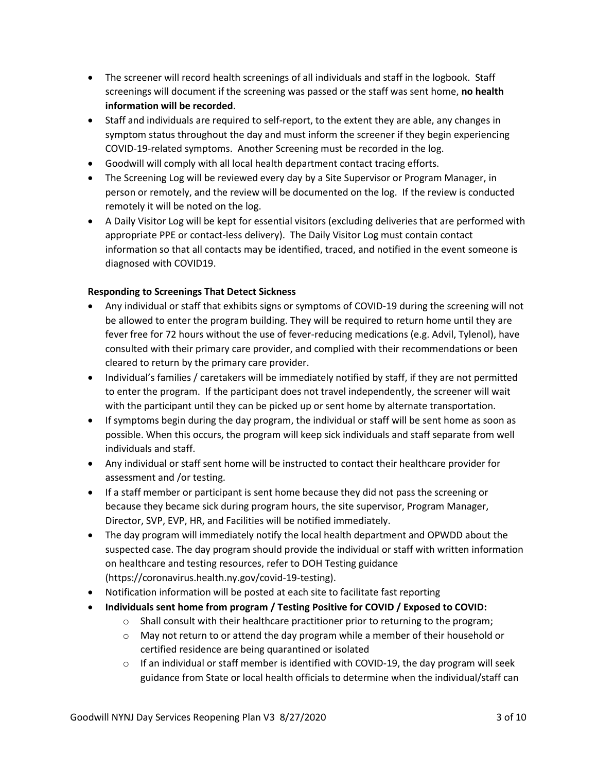- The screener will record health screenings of all individuals and staff in the logbook. Staff screenings will document if the screening was passed or the staff was sent home, **no health information will be recorded**.
- Staff and individuals are required to self-report, to the extent they are able, any changes in symptom status throughout the day and must inform the screener if they begin experiencing COVID-19-related symptoms. Another Screening must be recorded in the log.
- Goodwill will comply with all local health department contact tracing efforts.
- The Screening Log will be reviewed every day by a Site Supervisor or Program Manager, in person or remotely, and the review will be documented on the log. If the review is conducted remotely it will be noted on the log.
- A Daily Visitor Log will be kept for essential visitors (excluding deliveries that are performed with appropriate PPE or contact-less delivery). The Daily Visitor Log must contain contact information so that all contacts may be identified, traced, and notified in the event someone is diagnosed with COVID19.

# **Responding to Screenings That Detect Sickness**

- Any individual or staff that exhibits signs or symptoms of COVID-19 during the screening will not be allowed to enter the program building. They will be required to return home until they are fever free for 72 hours without the use of fever-reducing medications (e.g. Advil, Tylenol), have consulted with their primary care provider, and complied with their recommendations or been cleared to return by the primary care provider.
- Individual's families / caretakers will be immediately notified by staff, if they are not permitted to enter the program. If the participant does not travel independently, the screener will wait with the participant until they can be picked up or sent home by alternate transportation.
- If symptoms begin during the day program, the individual or staff will be sent home as soon as possible. When this occurs, the program will keep sick individuals and staff separate from well individuals and staff.
- Any individual or staff sent home will be instructed to contact their healthcare provider for assessment and /or testing.
- If a staff member or participant is sent home because they did not pass the screening or because they became sick during program hours, the site supervisor, Program Manager, Director, SVP, EVP, HR, and Facilities will be notified immediately.
- The day program will immediately notify the local health department and OPWDD about the suspected case. The day program should provide the individual or staff with written information on healthcare and testing resources, refer to DOH Testing guidance (https://coronavirus.health.ny.gov/covid-19-testing).
- Notification information will be posted at each site to facilitate fast reporting
- **Individuals sent home from program / Testing Positive for COVID / Exposed to COVID:**
	- $\circ$  Shall consult with their healthcare practitioner prior to returning to the program;
		- $\circ$  May not return to or attend the day program while a member of their household or certified residence are being quarantined or isolated
		- $\circ$  If an individual or staff member is identified with COVID-19, the day program will seek guidance from State or local health officials to determine when the individual/staff can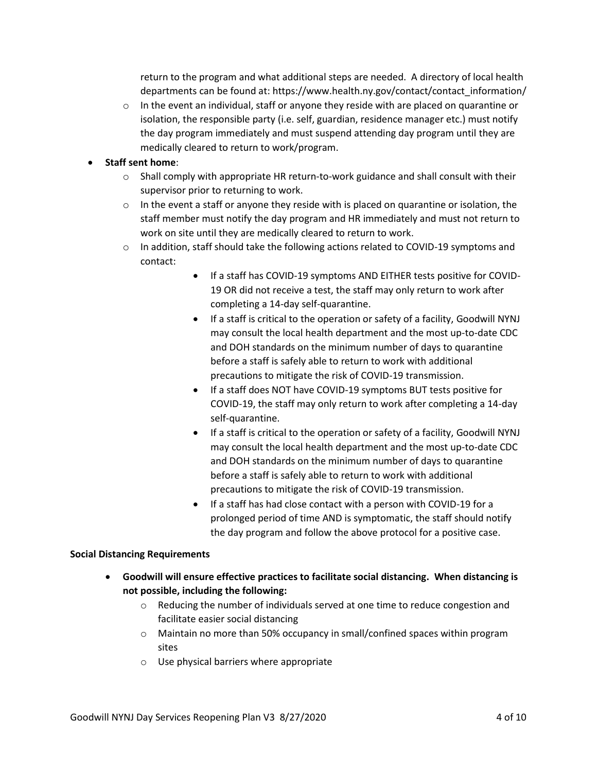return to the program and what additional steps are needed. A directory of local health departments can be found at: https://www.health.ny.gov/contact/contact\_information/

 $\circ$  In the event an individual, staff or anyone they reside with are placed on quarantine or isolation, the responsible party (i.e. self, guardian, residence manager etc.) must notify the day program immediately and must suspend attending day program until they are medically cleared to return to work/program.

### • **Staff sent home**:

- $\circ$  Shall comply with appropriate HR return-to-work guidance and shall consult with their supervisor prior to returning to work.
- $\circ$  In the event a staff or anyone they reside with is placed on quarantine or isolation, the staff member must notify the day program and HR immediately and must not return to work on site until they are medically cleared to return to work.
- $\circ$  In addition, staff should take the following actions related to COVID-19 symptoms and contact:
	- If a staff has COVID-19 symptoms AND EITHER tests positive for COVID-19 OR did not receive a test, the staff may only return to work after completing a 14-day self-quarantine.
	- If a staff is critical to the operation or safety of a facility, Goodwill NYNJ may consult the local health department and the most up-to-date CDC and DOH standards on the minimum number of days to quarantine before a staff is safely able to return to work with additional precautions to mitigate the risk of COVID-19 transmission.
	- If a staff does NOT have COVID-19 symptoms BUT tests positive for COVID-19, the staff may only return to work after completing a 14-day self-quarantine.
	- If a staff is critical to the operation or safety of a facility, Goodwill NYNJ may consult the local health department and the most up-to-date CDC and DOH standards on the minimum number of days to quarantine before a staff is safely able to return to work with additional precautions to mitigate the risk of COVID-19 transmission.
	- If a staff has had close contact with a person with COVID-19 for a prolonged period of time AND is symptomatic, the staff should notify the day program and follow the above protocol for a positive case.

#### **Social Distancing Requirements**

- **Goodwill will ensure effective practices to facilitate social distancing. When distancing is not possible, including the following:**
	- $\circ$  Reducing the number of individuals served at one time to reduce congestion and facilitate easier social distancing
	- o Maintain no more than 50% occupancy in small/confined spaces within program sites
	- o Use physical barriers where appropriate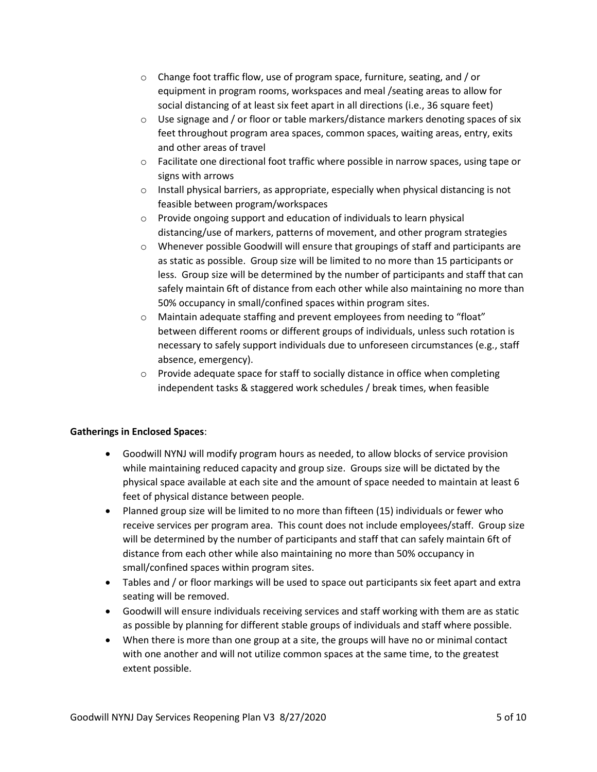- o Change foot traffic flow, use of program space, furniture, seating, and / or equipment in program rooms, workspaces and meal /seating areas to allow for social distancing of at least six feet apart in all directions (i.e., 36 square feet)
- $\circ$  Use signage and / or floor or table markers/distance markers denoting spaces of six feet throughout program area spaces, common spaces, waiting areas, entry, exits and other areas of travel
- $\circ$  Facilitate one directional foot traffic where possible in narrow spaces, using tape or signs with arrows
- $\circ$  Install physical barriers, as appropriate, especially when physical distancing is not feasible between program/workspaces
- $\circ$  Provide ongoing support and education of individuals to learn physical distancing/use of markers, patterns of movement, and other program strategies
- $\circ$  Whenever possible Goodwill will ensure that groupings of staff and participants are as static as possible. Group size will be limited to no more than 15 participants or less. Group size will be determined by the number of participants and staff that can safely maintain 6ft of distance from each other while also maintaining no more than 50% occupancy in small/confined spaces within program sites.
- o Maintain adequate staffing and prevent employees from needing to "float" between different rooms or different groups of individuals, unless such rotation is necessary to safely support individuals due to unforeseen circumstances (e.g., staff absence, emergency).
- $\circ$  Provide adequate space for staff to socially distance in office when completing independent tasks & staggered work schedules / break times, when feasible

# **Gatherings in Enclosed Spaces**:

- Goodwill NYNJ will modify program hours as needed, to allow blocks of service provision while maintaining reduced capacity and group size. Groups size will be dictated by the physical space available at each site and the amount of space needed to maintain at least 6 feet of physical distance between people.
- Planned group size will be limited to no more than fifteen (15) individuals or fewer who receive services per program area. This count does not include employees/staff. Group size will be determined by the number of participants and staff that can safely maintain 6ft of distance from each other while also maintaining no more than 50% occupancy in small/confined spaces within program sites.
- Tables and / or floor markings will be used to space out participants six feet apart and extra seating will be removed.
- Goodwill will ensure individuals receiving services and staff working with them are as static as possible by planning for different stable groups of individuals and staff where possible.
- When there is more than one group at a site, the groups will have no or minimal contact with one another and will not utilize common spaces at the same time, to the greatest extent possible.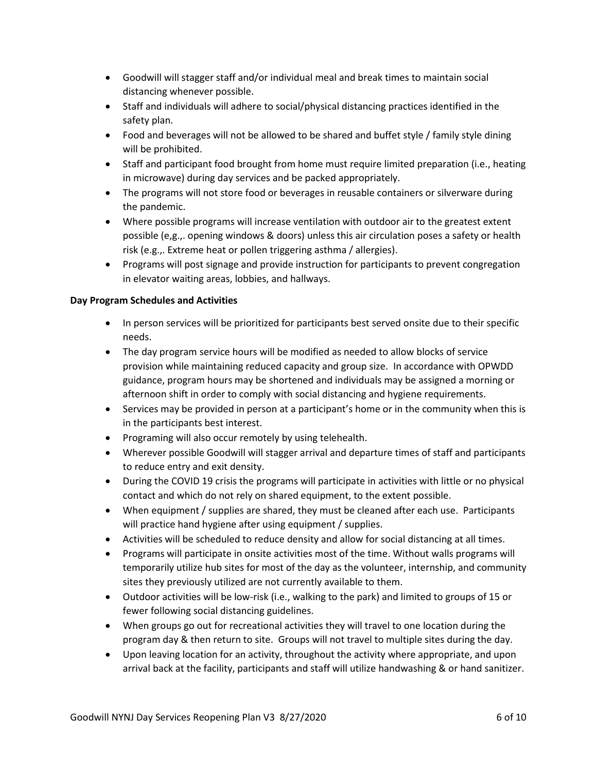- Goodwill will stagger staff and/or individual meal and break times to maintain social distancing whenever possible.
- Staff and individuals will adhere to social/physical distancing practices identified in the safety plan.
- Food and beverages will not be allowed to be shared and buffet style / family style dining will be prohibited.
- Staff and participant food brought from home must require limited preparation (i.e., heating in microwave) during day services and be packed appropriately.
- The programs will not store food or beverages in reusable containers or silverware during the pandemic.
- Where possible programs will increase ventilation with outdoor air to the greatest extent possible (e,g.,. opening windows & doors) unless this air circulation poses a safety or health risk (e.g.,. Extreme heat or pollen triggering asthma / allergies).
- Programs will post signage and provide instruction for participants to prevent congregation in elevator waiting areas, lobbies, and hallways.

# **Day Program Schedules and Activities**

- In person services will be prioritized for participants best served onsite due to their specific needs.
- The day program service hours will be modified as needed to allow blocks of service provision while maintaining reduced capacity and group size. In accordance with OPWDD guidance, program hours may be shortened and individuals may be assigned a morning or afternoon shift in order to comply with social distancing and hygiene requirements.
- Services may be provided in person at a participant's home or in the community when this is in the participants best interest.
- Programing will also occur remotely by using telehealth.
- Wherever possible Goodwill will stagger arrival and departure times of staff and participants to reduce entry and exit density.
- During the COVID 19 crisis the programs will participate in activities with little or no physical contact and which do not rely on shared equipment, to the extent possible.
- When equipment / supplies are shared, they must be cleaned after each use. Participants will practice hand hygiene after using equipment / supplies.
- Activities will be scheduled to reduce density and allow for social distancing at all times.
- Programs will participate in onsite activities most of the time. Without walls programs will temporarily utilize hub sites for most of the day as the volunteer, internship, and community sites they previously utilized are not currently available to them.
- Outdoor activities will be low-risk (i.e., walking to the park) and limited to groups of 15 or fewer following social distancing guidelines.
- When groups go out for recreational activities they will travel to one location during the program day & then return to site. Groups will not travel to multiple sites during the day.
- Upon leaving location for an activity, throughout the activity where appropriate, and upon arrival back at the facility, participants and staff will utilize handwashing & or hand sanitizer.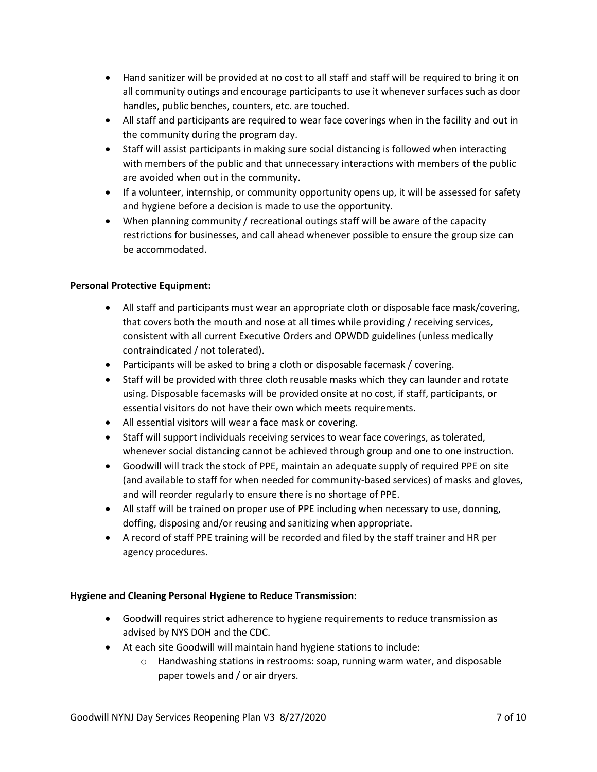- Hand sanitizer will be provided at no cost to all staff and staff will be required to bring it on all community outings and encourage participants to use it whenever surfaces such as door handles, public benches, counters, etc. are touched.
- All staff and participants are required to wear face coverings when in the facility and out in the community during the program day.
- Staff will assist participants in making sure social distancing is followed when interacting with members of the public and that unnecessary interactions with members of the public are avoided when out in the community.
- If a volunteer, internship, or community opportunity opens up, it will be assessed for safety and hygiene before a decision is made to use the opportunity.
- When planning community / recreational outings staff will be aware of the capacity restrictions for businesses, and call ahead whenever possible to ensure the group size can be accommodated.

### **Personal Protective Equipment:**

- All staff and participants must wear an appropriate cloth or disposable face mask/covering, that covers both the mouth and nose at all times while providing / receiving services, consistent with all current Executive Orders and OPWDD guidelines (unless medically contraindicated / not tolerated).
- Participants will be asked to bring a cloth or disposable facemask / covering.
- Staff will be provided with three cloth reusable masks which they can launder and rotate using. Disposable facemasks will be provided onsite at no cost, if staff, participants, or essential visitors do not have their own which meets requirements.
- All essential visitors will wear a face mask or covering.
- Staff will support individuals receiving services to wear face coverings, as tolerated, whenever social distancing cannot be achieved through group and one to one instruction.
- Goodwill will track the stock of PPE, maintain an adequate supply of required PPE on site (and available to staff for when needed for community-based services) of masks and gloves, and will reorder regularly to ensure there is no shortage of PPE.
- All staff will be trained on proper use of PPE including when necessary to use, donning, doffing, disposing and/or reusing and sanitizing when appropriate.
- A record of staff PPE training will be recorded and filed by the staff trainer and HR per agency procedures.

# **Hygiene and Cleaning Personal Hygiene to Reduce Transmission:**

- Goodwill requires strict adherence to hygiene requirements to reduce transmission as advised by NYS DOH and the CDC.
- At each site Goodwill will maintain hand hygiene stations to include:
	- $\circ$  Handwashing stations in restrooms: soap, running warm water, and disposable paper towels and / or air dryers.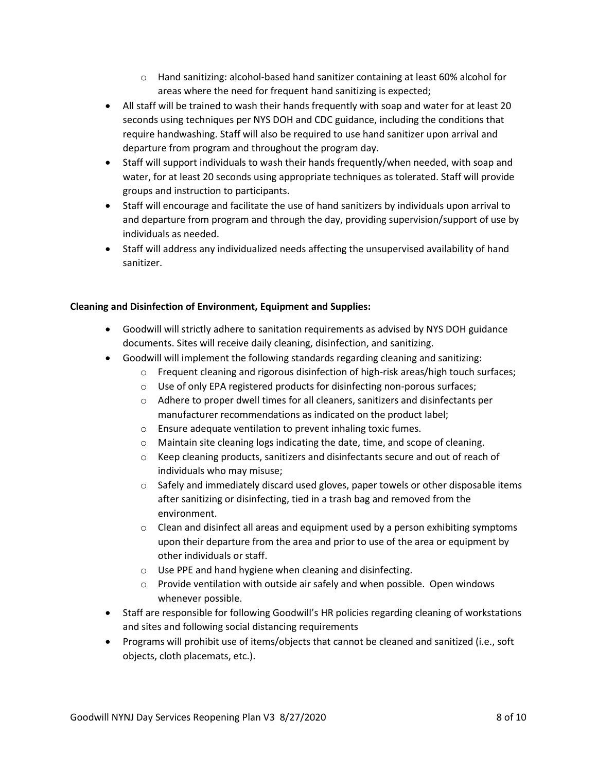- $\circ$  Hand sanitizing: alcohol-based hand sanitizer containing at least 60% alcohol for areas where the need for frequent hand sanitizing is expected;
- All staff will be trained to wash their hands frequently with soap and water for at least 20 seconds using techniques per NYS DOH and CDC guidance, including the conditions that require handwashing. Staff will also be required to use hand sanitizer upon arrival and departure from program and throughout the program day.
- Staff will support individuals to wash their hands frequently/when needed, with soap and water, for at least 20 seconds using appropriate techniques as tolerated. Staff will provide groups and instruction to participants.
- Staff will encourage and facilitate the use of hand sanitizers by individuals upon arrival to and departure from program and through the day, providing supervision/support of use by individuals as needed.
- Staff will address any individualized needs affecting the unsupervised availability of hand sanitizer.

### **Cleaning and Disinfection of Environment, Equipment and Supplies:**

- Goodwill will strictly adhere to sanitation requirements as advised by NYS DOH guidance documents. Sites will receive daily cleaning, disinfection, and sanitizing.
- Goodwill will implement the following standards regarding cleaning and sanitizing:
	- $\circ$  Frequent cleaning and rigorous disinfection of high-risk areas/high touch surfaces;
	- o Use of only EPA registered products for disinfecting non-porous surfaces;
	- $\circ$  Adhere to proper dwell times for all cleaners, sanitizers and disinfectants per manufacturer recommendations as indicated on the product label;
	- o Ensure adequate ventilation to prevent inhaling toxic fumes.
	- $\circ$  Maintain site cleaning logs indicating the date, time, and scope of cleaning.
	- $\circ$  Keep cleaning products, sanitizers and disinfectants secure and out of reach of individuals who may misuse;
	- $\circ$  Safely and immediately discard used gloves, paper towels or other disposable items after sanitizing or disinfecting, tied in a trash bag and removed from the environment.
	- $\circ$  Clean and disinfect all areas and equipment used by a person exhibiting symptoms upon their departure from the area and prior to use of the area or equipment by other individuals or staff.
	- o Use PPE and hand hygiene when cleaning and disinfecting.
	- o Provide ventilation with outside air safely and when possible. Open windows whenever possible.
- Staff are responsible for following Goodwill's HR policies regarding cleaning of workstations and sites and following social distancing requirements
- Programs will prohibit use of items/objects that cannot be cleaned and sanitized (i.e., soft objects, cloth placemats, etc.).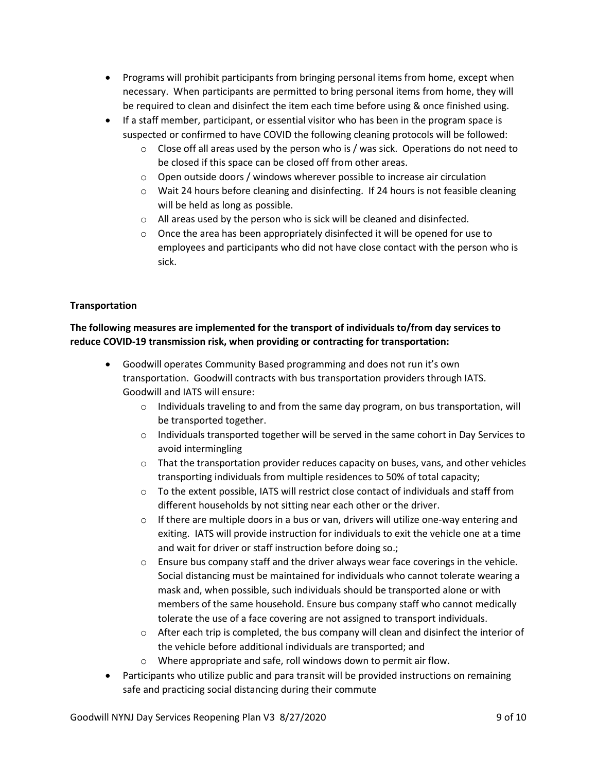- Programs will prohibit participants from bringing personal items from home, except when necessary. When participants are permitted to bring personal items from home, they will be required to clean and disinfect the item each time before using & once finished using.
- If a staff member, participant, or essential visitor who has been in the program space is suspected or confirmed to have COVID the following cleaning protocols will be followed:
	- $\circ$  Close off all areas used by the person who is / was sick. Operations do not need to be closed if this space can be closed off from other areas.
	- $\circ$  Open outside doors / windows wherever possible to increase air circulation
	- $\circ$  Wait 24 hours before cleaning and disinfecting. If 24 hours is not feasible cleaning will be held as long as possible.
	- o All areas used by the person who is sick will be cleaned and disinfected.
	- $\circ$  Once the area has been appropriately disinfected it will be opened for use to employees and participants who did not have close contact with the person who is sick.

### **Transportation**

# **The following measures are implemented for the transport of individuals to/from day services to reduce COVID-19 transmission risk, when providing or contracting for transportation:**

- Goodwill operates Community Based programming and does not run it's own transportation. Goodwill contracts with bus transportation providers through IATS. Goodwill and IATS will ensure:
	- $\circ$  Individuals traveling to and from the same day program, on bus transportation, will be transported together.
	- $\circ$  Individuals transported together will be served in the same cohort in Day Services to avoid intermingling
	- $\circ$  That the transportation provider reduces capacity on buses, vans, and other vehicles transporting individuals from multiple residences to 50% of total capacity;
	- $\circ$  To the extent possible, IATS will restrict close contact of individuals and staff from different households by not sitting near each other or the driver.
	- $\circ$  If there are multiple doors in a bus or van, drivers will utilize one-way entering and exiting. IATS will provide instruction for individuals to exit the vehicle one at a time and wait for driver or staff instruction before doing so.;
	- $\circ$  Ensure bus company staff and the driver always wear face coverings in the vehicle. Social distancing must be maintained for individuals who cannot tolerate wearing a mask and, when possible, such individuals should be transported alone or with members of the same household. Ensure bus company staff who cannot medically tolerate the use of a face covering are not assigned to transport individuals.
	- $\circ$  After each trip is completed, the bus company will clean and disinfect the interior of the vehicle before additional individuals are transported; and
	- o Where appropriate and safe, roll windows down to permit air flow.
- Participants who utilize public and para transit will be provided instructions on remaining safe and practicing social distancing during their commute